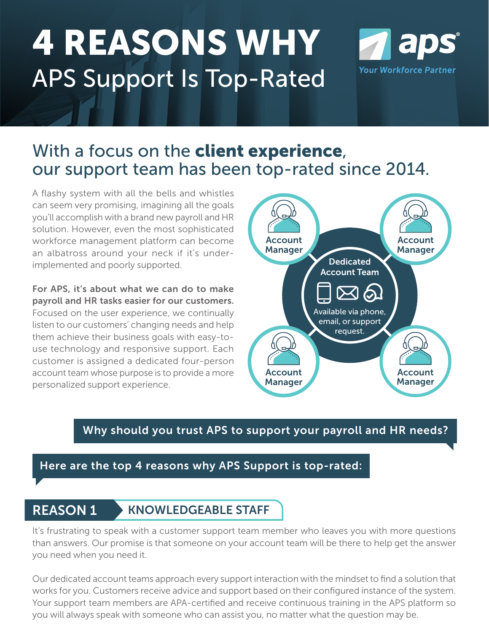# 4 REASONS WHY APS Support Is Top-Rated



# With a focus on the client experience, our support team has been top-rated since 2014.

A flashy system with all the bells and whistles can seem very promising, imagining all the goals you'll accomplish with a brand new payroll and HR solution. However, even the most sophisticated workforce management platform can become an albatross around your neck if it's underimplemented and poorly supported.

For APS, it's about what we can do to make payroll and HR tasks easier for our customers. Focused on the user experience, we continually listen to our customers' changing needs and help them achieve their business goals with easy-touse technology and responsive support. Each customer is assigned a dedicated four-person account team whose purpose is to provide a more personalized support experience.



### Why should you trust APS to support your payroll and HR needs?

### Here are the top 4 reasons why APS Support is top-rated:

# REASON 1 KNOWLEDGEABLE STAFF

It's frustrating to speak with a customer support team member who leaves you with more questions than answers. Our promise is that someone on your account team will be there to help get the answer you need when you need it.

Our dedicated account teams approach every support interaction with the mindset to find a solution that works for you. Customers receive advice and support based on their configured instance of the system. Your support team members are APA-certified and receive continuous training in the APS platform so you will always speak with someone who can assist you, no matter what the question may be.